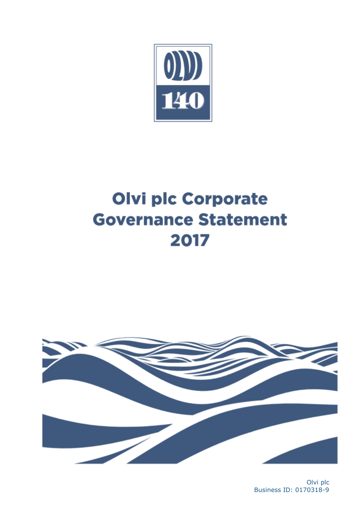

# **Olvi plc Corporate Governance Statement** 2017



Olvi plc Business ID: 0170318-9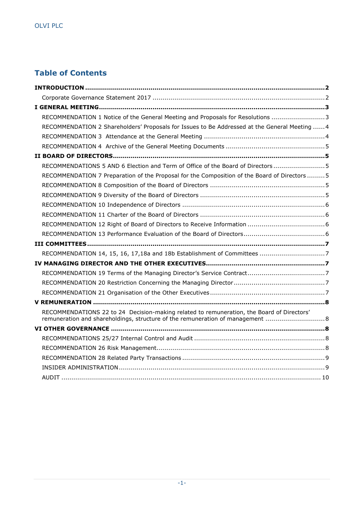# **Table of Contents**

| RECOMMENDATION 1 Notice of the General Meeting and Proposals for Resolutions 3                                                                                              |
|-----------------------------------------------------------------------------------------------------------------------------------------------------------------------------|
| RECOMMENDATION 2 Shareholders' Proposals for Issues to Be Addressed at the General Meeting  4                                                                               |
|                                                                                                                                                                             |
|                                                                                                                                                                             |
|                                                                                                                                                                             |
| RECOMMENDATIONS 5 AND 6 Election and Term of Office of the Board of Directors 5                                                                                             |
| RECOMMENDATION 7 Preparation of the Proposal for the Composition of the Board of Directors  5                                                                               |
|                                                                                                                                                                             |
|                                                                                                                                                                             |
|                                                                                                                                                                             |
|                                                                                                                                                                             |
|                                                                                                                                                                             |
|                                                                                                                                                                             |
|                                                                                                                                                                             |
|                                                                                                                                                                             |
|                                                                                                                                                                             |
|                                                                                                                                                                             |
|                                                                                                                                                                             |
|                                                                                                                                                                             |
|                                                                                                                                                                             |
| RECOMMENDATIONS 22 to 24 Decision-making related to remuneration, the Board of Directors'<br>remuneration and shareholdings, structure of the remuneration of management  8 |
|                                                                                                                                                                             |
|                                                                                                                                                                             |
|                                                                                                                                                                             |
|                                                                                                                                                                             |
|                                                                                                                                                                             |
|                                                                                                                                                                             |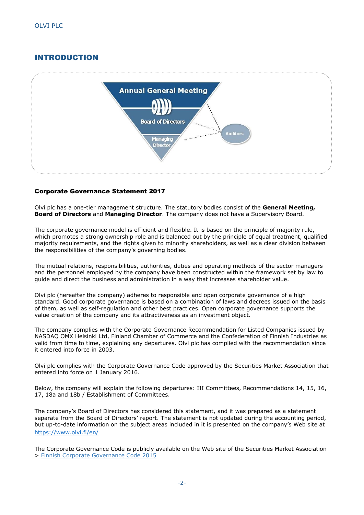# <span id="page-2-0"></span>INTRODUCTION



## <span id="page-2-1"></span>Corporate Governance Statement 2017

Olvi plc has a one-tier management structure. The statutory bodies consist of the **General Meeting, Board of Directors** and **Managing Director**. The company does not have a Supervisory Board.

The corporate governance model is efficient and flexible. It is based on the principle of majority rule, which promotes a strong ownership role and is balanced out by the principle of equal treatment, qualified majority requirements, and the rights given to minority shareholders, as well as a clear division between the responsibilities of the company's governing bodies.

The mutual relations, responsibilities, authorities, duties and operating methods of the sector managers and the personnel employed by the company have been constructed within the framework set by law to guide and direct the business and administration in a way that increases shareholder value.

Olvi plc (hereafter the company) adheres to responsible and open corporate governance of a high standard. Good corporate governance is based on a combination of laws and decrees issued on the basis of them, as well as self-regulation and other best practices. Open corporate governance supports the value creation of the company and its attractiveness as an investment object.

The company complies with the Corporate Governance Recommendation for Listed Companies issued by NASDAQ OMX Helsinki Ltd, Finland Chamber of Commerce and the Confederation of Finnish Industries as valid from time to time, explaining any departures. Olvi plc has complied with the recommendation since it entered into force in 2003.

Olvi plc complies with the Corporate Governance Code approved by the Securities Market Association that entered into force on 1 January 2016.

Below, the company will explain the following departures: III Committees, Recommendations 14, 15, 16, 17, 18a and 18b / Establishment of Committees.

The company's Board of Directors has considered this statement, and it was prepared as a statement separate from the Board of Directors' report. The statement is not updated during the accounting period, but up-to-date information on the subject areas included in it is presented on the company's Web site at <https://www.olvi.fi/en/>

The Corporate Governance Code is publicly available on the Web site of the Securities Market Association > [Finnish Corporate Governance Code 2015](http://cgfinland.fi/files/2012/01/hallinnointikoodi-2015eng.pdf)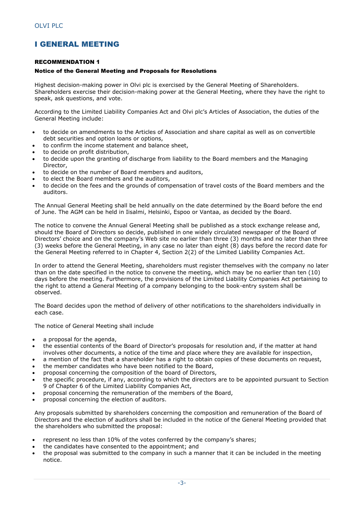# <span id="page-3-0"></span>I GENERAL MEETING

#### <span id="page-3-1"></span>RECOMMENDATION 1

#### <span id="page-3-2"></span>Notice of the General Meeting and Proposals for Resolutions

Highest decision-making power in Olvi plc is exercised by the General Meeting of Shareholders. Shareholders exercise their decision-making power at the General Meeting, where they have the right to speak, ask questions, and vote.

According to the Limited Liability Companies Act and Olvi plc's Articles of Association, the duties of the General Meeting include:

- to decide on amendments to the Articles of Association and share capital as well as on convertible debt securities and option loans or options,
- to confirm the income statement and balance sheet,
- to decide on profit distribution,
- to decide upon the granting of discharge from liability to the Board members and the Managing Director,
- to decide on the number of Board members and auditors,
- to elect the Board members and the auditors,
- to decide on the fees and the grounds of compensation of travel costs of the Board members and the auditors.

The Annual General Meeting shall be held annually on the date determined by the Board before the end of June. The AGM can be held in Iisalmi, Helsinki, Espoo or Vantaa, as decided by the Board.

The notice to convene the Annual General Meeting shall be published as a stock exchange release and, should the Board of Directors so decide, published in one widely circulated newspaper of the Board of Directors' choice and on the company's Web site no earlier than three (3) months and no later than three (3) weeks before the General Meeting, in any case no later than eight (8) days before the record date for the General Meeting referred to in Chapter 4, Section 2(2) of the Limited Liability Companies Act.

In order to attend the General Meeting, shareholders must register themselves with the company no later than on the date specified in the notice to convene the meeting, which may be no earlier than ten (10) days before the meeting. Furthermore, the provisions of the Limited Liability Companies Act pertaining to the right to attend a General Meeting of a company belonging to the book-entry system shall be observed.

The Board decides upon the method of delivery of other notifications to the shareholders individually in each case.

The notice of General Meeting shall include

- a proposal for the agenda,
- the essential contents of the Board of Director's proposals for resolution and, if the matter at hand involves other documents, a notice of the time and place where they are available for inspection,
- a mention of the fact that a shareholder has a right to obtain copies of these documents on request,
- the member candidates who have been notified to the Board,
- proposal concerning the composition of the board of Directors,
- the specific procedure, if any, according to which the directors are to be appointed pursuant to Section 9 of Chapter 6 of the Limited Liability Companies Act,
- proposal concerning the remuneration of the members of the Board,
- proposal concerning the election of auditors.

Any proposals submitted by shareholders concerning the composition and remuneration of the Board of Directors and the election of auditors shall be included in the notice of the General Meeting provided that the shareholders who submitted the proposal:

- represent no less than 10% of the votes conferred by the company's shares;
- the candidates have consented to the appointment; and
- the proposal was submitted to the company in such a manner that it can be included in the meeting notice.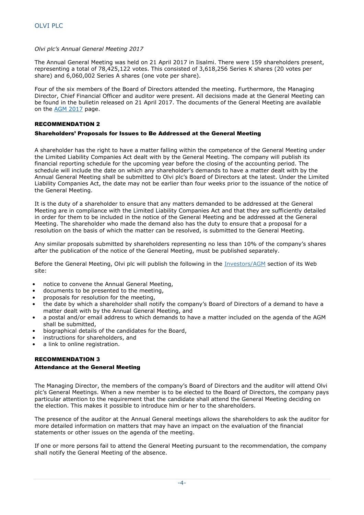#### *Olvi plc's Annual General Meeting 2017*

The Annual General Meeting was held on 21 April 2017 in Iisalmi. There were 159 shareholders present, representing a total of 78,425,122 votes. This consisted of 3,618,256 Series K shares (20 votes per share) and 6,060,002 Series A shares (one vote per share).

Four of the six members of the Board of Directors attended the meeting. Furthermore, the Managing Director, Chief Financial Officer and auditor were present. All decisions made at the General Meeting can be found in the bulletin released on 21 April 2017. The documents of the General Meeting are available on the [AGM 2017](https://www.olvigroup.fi/en/investors/corporate-governance/annual-general-meeting-shareholders/annual-meeting-2017/) page.

#### <span id="page-4-0"></span>RECOMMENDATION 2

#### Shareholders' Proposals for Issues to Be Addressed at the General Meeting

A shareholder has the right to have a matter falling within the competence of the General Meeting under the Limited Liability Companies Act dealt with by the General Meeting. The company will publish its financial reporting schedule for the upcoming year before the closing of the accounting period. The schedule will include the date on which any shareholder's demands to have a matter dealt with by the Annual General Meeting shall be submitted to Olvi plc's Board of Directors at the latest. Under the Limited Liability Companies Act, the date may not be earlier than four weeks prior to the issuance of the notice of the General Meeting.

It is the duty of a shareholder to ensure that any matters demanded to be addressed at the General Meeting are in compliance with the Limited Liability Companies Act and that they are sufficiently detailed in order for them to be included in the notice of the General Meeting and be addressed at the General Meeting. The shareholder who made the demand also has the duty to ensure that a proposal for a resolution on the basis of which the matter can be resolved, is submitted to the General Meeting.

Any similar proposals submitted by shareholders representing no less than 10% of the company's shares after the publication of the notice of the General Meeting, must be published separately.

Before the General Meeting, Olvi plc will publish the following in the [Investors/AGM](https://www.olvigroup.fi/en/investors/corporate-governance/annual-general-meeting-shareholders/) section of its Web site:

- notice to convene the Annual General Meeting,
- documents to be presented to the meeting,
- proposals for resolution for the meeting,
- the date by which a shareholder shall notify the company's Board of Directors of a demand to have a matter dealt with by the Annual General Meeting, and
- a postal and/or email address to which demands to have a matter included on the agenda of the AGM shall be submitted,
- biographical details of the candidates for the Board,
- instructions for shareholders, and
- a link to online registration.

#### <span id="page-4-1"></span>RECOMMENDATION 3 Attendance at the General Meeting

The Managing Director, the members of the company's Board of Directors and the auditor will attend Olvi plc's General Meetings. When a new member is to be elected to the Board of Directors, the company pays particular attention to the requirement that the candidate shall attend the General Meeting deciding on the election. This makes it possible to introduce him or her to the shareholders.

The presence of the auditor at the Annual General meetings allows the shareholders to ask the auditor for more detailed information on matters that may have an impact on the evaluation of the financial statements or other issues on the agenda of the meeting.

If one or more persons fail to attend the General Meeting pursuant to the recommendation, the company shall notify the General Meeting of the absence.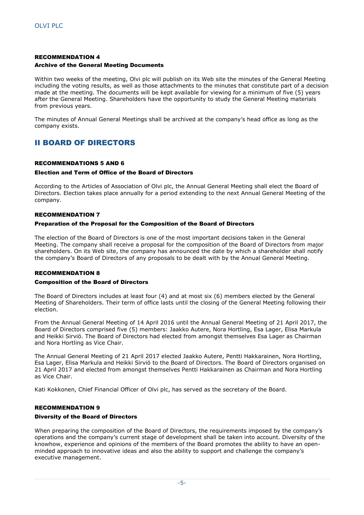#### <span id="page-5-0"></span>RECOMMENDATION 4 Archive of the General Meeting Documents

Within two weeks of the meeting, Olvi plc will publish on its Web site the minutes of the General Meeting including the voting results, as well as those attachments to the minutes that constitute part of a decision made at the meeting. The documents will be kept available for viewing for a minimum of five (5) years after the General Meeting. Shareholders have the opportunity to study the General Meeting materials from previous years.

The minutes of Annual General Meetings shall be archived at the company's head office as long as the company exists.

# <span id="page-5-1"></span>II BOARD OF DIRECTORS

#### <span id="page-5-2"></span>RECOMMENDATIONS 5 AND 6

#### <span id="page-5-3"></span>Election and Term of Office of the Board of Directors

According to the Articles of Association of Olvi plc, the Annual General Meeting shall elect the Board of Directors. Election takes place annually for a period extending to the next Annual General Meeting of the company.

#### <span id="page-5-4"></span>RECOMMENDATION 7

#### <span id="page-5-5"></span>Preparation of the Proposal for the Composition of the Board of Directors

The election of the Board of Directors is one of the most important decisions taken in the General Meeting. The company shall receive a proposal for the composition of the Board of Directors from major shareholders. On its Web site, the company has announced the date by which a shareholder shall notify the company's Board of Directors of any proposals to be dealt with by the Annual General Meeting.

#### <span id="page-5-6"></span>RECOMMENDATION 8

#### <span id="page-5-7"></span>Composition of the Board of Directors

The Board of Directors includes at least four (4) and at most six (6) members elected by the General Meeting of Shareholders. Their term of office lasts until the closing of the General Meeting following their election.

From the Annual General Meeting of 14 April 2016 until the Annual General Meeting of 21 April 2017, the Board of Directors comprised five (5) members: Jaakko Autere, Nora Hortling, Esa Lager, Elisa Markula and Heikki Sirviö. The Board of Directors had elected from amongst themselves Esa Lager as Chairman and Nora Hortling as Vice Chair.

The Annual General Meeting of 21 April 2017 elected Jaakko Autere, Pentti Hakkarainen, Nora Hortling, Esa Lager, Elisa Markula and Heikki Sirviö to the Board of Directors. The Board of Directors organised on 21 April 2017 and elected from amongst themselves Pentti Hakkarainen as Chairman and Nora Hortling as Vice Chair.

Kati Kokkonen, Chief Financial Officer of Olvi plc, has served as the secretary of the Board.

#### <span id="page-5-8"></span>RECOMMENDATION 9

#### <span id="page-5-9"></span>Diversity of the Board of Directors

When preparing the composition of the Board of Directors, the requirements imposed by the company's operations and the company's current stage of development shall be taken into account. Diversity of the knowhow, experience and opinions of the members of the Board promotes the ability to have an openminded approach to innovative ideas and also the ability to support and challenge the company's executive management.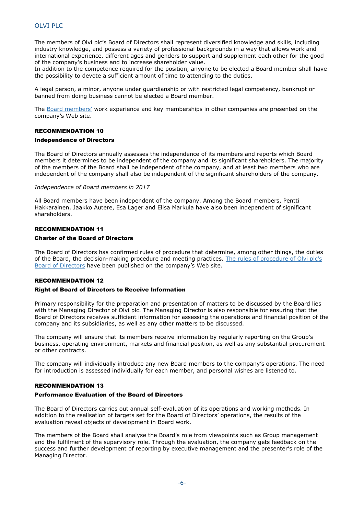## OLVI PLC

The members of Olvi plc's Board of Directors shall represent diversified knowledge and skills, including industry knowledge, and possess a variety of professional backgrounds in a way that allows work and international experience, different ages and genders to support and supplement each other for the good of the company's business and to increase shareholder value.

In addition to the competence required for the position, anyone to be elected a Board member shall have the possibility to devote a sufficient amount of time to attending to the duties.

A legal person, a minor, anyone under guardianship or with restricted legal competency, bankrupt or banned from doing business cannot be elected a Board member.

The [Board members'](https://www.olvigroup.fi/en/investors/corporate-governance/olvi-plcs-board-directors/members-of-the-board/) work experience and key memberships in other companies are presented on the company's Web site.

#### <span id="page-6-0"></span>RECOMMENDATION 10

#### Independence of Directors

The Board of Directors annually assesses the independence of its members and reports which Board members it determines to be independent of the company and its significant shareholders. The majority of the members of the Board shall be independent of the company, and at least two members who are independent of the company shall also be independent of the significant shareholders of the company.

#### *Independence of Board members in 2017*

All Board members have been independent of the company. Among the Board members, Pentti Hakkarainen, Jaakko Autere, Esa Lager and Elisa Markula have also been independent of significant shareholders.

#### <span id="page-6-1"></span>RECOMMENDATION 11

#### Charter of the Board of Directors

The Board of Directors has confirmed rules of procedure that determine, among other things, the duties of the Board, the decision-making procedure and meeting practices. [The rules of procedure of Olvi plc's](https://www.olvigroup.fi/app/uploads/sites/2/2017/06/Procedure-of-Olvi-plc’s-Board-.pdf)  [Board of Directors](https://www.olvigroup.fi/app/uploads/sites/2/2017/06/Procedure-of-Olvi-plc’s-Board-.pdf) have been published on the company's Web site.

#### <span id="page-6-2"></span>RECOMMENDATION 12

#### Right of Board of Directors to Receive Information

Primary responsibility for the preparation and presentation of matters to be discussed by the Board lies with the Managing Director of Olvi plc. The Managing Director is also responsible for ensuring that the Board of Directors receives sufficient information for assessing the operations and financial position of the company and its subsidiaries, as well as any other matters to be discussed.

The company will ensure that its members receive information by regularly reporting on the Group's business, operating environment, markets and financial position, as well as any substantial procurement or other contracts.

The company will individually introduce any new Board members to the company's operations. The need for introduction is assessed individually for each member, and personal wishes are listened to.

#### <span id="page-6-3"></span>RECOMMENDATION 13

#### <span id="page-6-4"></span>Performance Evaluation of the Board of Directors

The Board of Directors carries out annual self-evaluation of its operations and working methods. In addition to the realisation of targets set for the Board of Directors' operations, the results of the evaluation reveal objects of development in Board work.

The members of the Board shall analyse the Board's role from viewpoints such as Group management and the fulfilment of the supervisory role. Through the evaluation, the company gets feedback on the success and further development of reporting by executive management and the presenter's role of the Managing Director.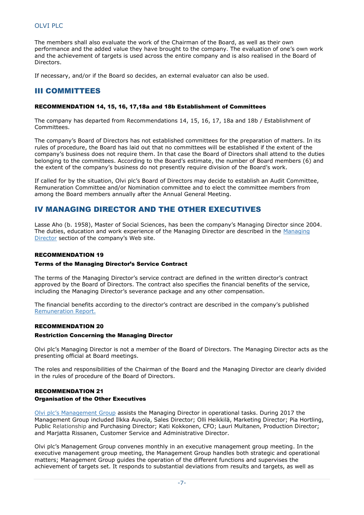## OLVI PLC

The members shall also evaluate the work of the Chairman of the Board, as well as their own performance and the added value they have brought to the company. The evaluation of one's own work and the achievement of targets is used across the entire company and is also realised in the Board of Directors.

If necessary, and/or if the Board so decides, an external evaluator can also be used.

# <span id="page-7-0"></span>III COMMITTEES

#### <span id="page-7-1"></span>RECOMMENDATION 14, 15, 16, 17,18a and 18b Establishment of Committees

The company has departed from Recommendations 14, 15, 16, 17, 18a and 18b / Establishment of Committees.

The company's Board of Directors has not established committees for the preparation of matters. In its rules of procedure, the Board has laid out that no committees will be established if the extent of the company's business does not require them. In that case the Board of Directors shall attend to the duties belonging to the committees. According to the Board's estimate, the number of Board members (6) and the extent of the company's business do not presently require division of the Board's work.

If called for by the situation, Olvi plc's Board of Directors may decide to establish an Audit Committee, Remuneration Committee and/or Nomination committee and to elect the committee members from among the Board members annually after the Annual General Meeting.

## <span id="page-7-2"></span>IV MANAGING DIRECTOR AND THE OTHER EXECUTIVES

Lasse Aho (b. 1958), Master of Social Sciences, has been the company's Managing Director since 2004. The duties, education and work experience of the Managing Director are described in the [Managing](https://www.olvigroup.fi/en/investors/corporate-governance/the-management-team/)  [Director](https://www.olvigroup.fi/en/investors/corporate-governance/the-management-team/) section of the company's Web site.

#### <span id="page-7-3"></span>RECOMMENDATION 19

#### <span id="page-7-4"></span>Terms of the Managing Director's Service Contract

The terms of the Managing Director's service contract are defined in the written director's contract approved by the Board of Directors. The contract also specifies the financial benefits of the service, including the Managing Director's severance package and any other compensation.

The financial benefits according to the director's contract are described in the company's published [Remuneration Report.](https://www.olvigroup.fi/en/releases-and-publications/annual-reports/)

#### <span id="page-7-5"></span>RECOMMENDATION 20

#### <span id="page-7-6"></span>Restriction Concerning the Managing Director

Olvi plc's Managing Director is not a member of the Board of Directors. The Managing Director acts as the presenting official at Board meetings.

The roles and responsibilities of the Chairman of the Board and the Managing Director are clearly divided in the rules of procedure of the Board of Directors.

#### <span id="page-7-7"></span>RECOMMENDATION 21 Organisation of the Other Executives

[Olvi plc's Management Group](https://www.olvigroup.fi/en/investors/corporate-governance/the-management-team/) assists the Managing Director in operational tasks. During 2017 the Management Group included Ilkka Auvola, Sales Director; Olli Heikkilä, Marketing Director; Pia Hortling, Public Relationship and Purchasing Director; Kati Kokkonen, CFO; Lauri Multanen, Production Director; and Marjatta Rissanen, Customer Service and Administrative Director.

Olvi plc's Management Group convenes monthly in an executive management group meeting. In the executive management group meeting, the Management Group handles both strategic and operational matters; Management Group guides the operation of the different functions and supervises the achievement of targets set. It responds to substantial deviations from results and targets, as well as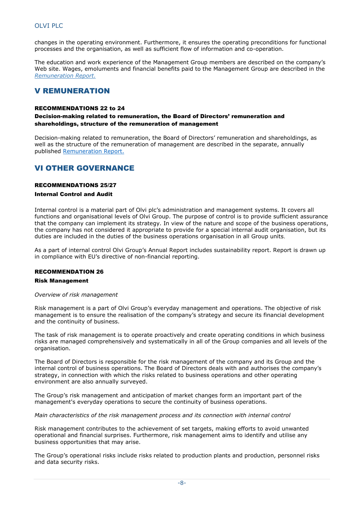changes in the operating environment. Furthermore, it ensures the operating preconditions for functional processes and the organisation, as well as sufficient flow of information and co-operation.

The education and work experience of the Management Group members are described on the company's Web site. Wages, emoluments and financial benefits paid to the Management Group are described in the *[Remuneration Report.](https://www.olvigroup.fi/en/releases-and-publications/annual-reports/)*

# <span id="page-8-0"></span>V REMUNERATION

#### <span id="page-8-1"></span>RECOMMENDATIONS 22 to 24

#### Decision-making related to remuneration, the Board of Directors' remuneration and shareholdings, structure of the remuneration of management

Decision-making related to remuneration, the Board of Directors' remuneration and shareholdings, as well as the structure of the remuneration of management are described in the separate, annually published [Remuneration Report.](https://www.olvigroup.fi/en/releases-and-publications/annual-reports/)

# <span id="page-8-2"></span>VI OTHER GOVERNANCE

#### <span id="page-8-3"></span>RECOMMENDATIONS 25/27

#### <span id="page-8-4"></span>Internal Control and Audit

Internal control is a material part of Olvi plc's administration and management systems. It covers all functions and organisational levels of Olvi Group. The purpose of control is to provide sufficient assurance that the company can implement its strategy. In view of the nature and scope of the business operations, the company has not considered it appropriate to provide for a special internal audit organisation, but its duties are included in the duties of the business operations organisation in all Group units.

As a part of internal control Olvi Group's Annual Report includes sustainability report. Report is drawn up in compliance with EU's directive of non-financial reporting.

#### <span id="page-8-5"></span>RECOMMENDATION 26

#### Risk Management

#### *Overview of risk management*

Risk management is a part of Olvi Group's everyday management and operations. The objective of risk management is to ensure the realisation of the company's strategy and secure its financial development and the continuity of business.

The task of risk management is to operate proactively and create operating conditions in which business risks are managed comprehensively and systematically in all of the Group companies and all levels of the organisation.

The Board of Directors is responsible for the risk management of the company and its Group and the internal control of business operations. The Board of Directors deals with and authorises the company's strategy, in connection with which the risks related to business operations and other operating environment are also annually surveyed.

The Group's risk management and anticipation of market changes form an important part of the management's everyday operations to secure the continuity of business operations.

*Main characteristics of the risk management process and its connection with internal control*

Risk management contributes to the achievement of set targets, making efforts to avoid unwanted operational and financial surprises. Furthermore, risk management aims to identify and utilise any business opportunities that may arise.

The Group's operational risks include risks related to production plants and production, personnel risks and data security risks.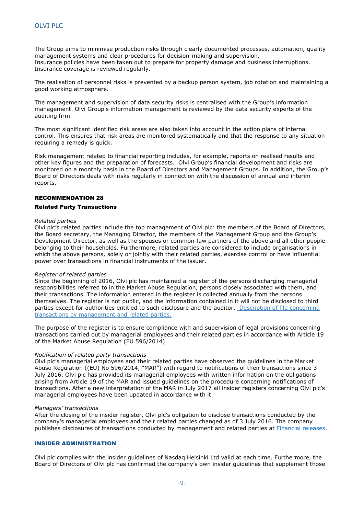The Group aims to minimise production risks through clearly documented processes, automation, quality management systems and clear procedures for decision-making and supervision. Insurance policies have been taken out to prepare for property damage and business interruptions. Insurance coverage is reviewed regularly.

The realisation of personnel risks is prevented by a backup person system, job rotation and maintaining a good working atmosphere.

The management and supervision of data security risks is centralised with the Group's information management. Olvi Group's information management is reviewed by the data security experts of the auditing firm.

The most significant identified risk areas are also taken into account in the action plans of internal control. This ensures that risk areas are monitored systematically and that the response to any situation requiring a remedy is quick.

Risk management related to financial reporting includes, for example, reports on realised results and other key figures and the preparation of forecasts. Olvi Group's financial development and risks are monitored on a monthly basis in the Board of Directors and Management Groups. In addition, the Group's Board of Directors deals with risks regularly in connection with the discussion of annual and interim reports.

#### <span id="page-9-0"></span>RECOMMENDATION 28

#### Related Party Transactions

#### *Related parties*

Olvi plc's related parties include the top management of Olvi plc: the members of the Board of Directors, the Board secretary, the Managing Director, the members of the Management Group and the Group's Development Director, as well as the spouses or common-law partners of the above and all other people belonging to their households. Furthermore, related parties are considered to include organisations in which the above persons, solely or jointly with their related parties, exercise control or have influential power over transactions in financial instruments of the issuer.

#### *Register of related parties*

Since the beginning of 2016, Olvi plc has maintained a register of the persons discharging managerial responsibilities referred to in the Market Abuse Regulation, persons closely associated with them, and their transactions. The information entered in the register is collected annually from the persons themselves. The register is not public, and the information contained in it will not be disclosed to third parties except for authorities entitled to such disclosure and the auditor. [Description of file concerning](https://www.olvi.fi/app/uploads/sites/2/2017/07/Personal-Data-Act.pdf)  [transactions by management and related parties.](https://www.olvi.fi/app/uploads/sites/2/2017/07/Personal-Data-Act.pdf)

The purpose of the register is to ensure compliance with and supervision of legal provisions concerning transactions carried out by managerial employees and their related parties in accordance with Article 19 of the Market Abuse Regulation (EU 596/2014).

#### *Notification of related party transactions*

Olvi plc's managerial employees and their related parties have observed the guidelines in the Market Abuse Regulation ((EU) No 596/2014, "MAR") with regard to notifications of their transactions since 3 July 2016. Olvi plc has provided its managerial employees with written information on the obligations arising from Article 19 of the MAR and issued guidelines on the procedure concerning notifications of transactions. After a new interpretation of the MAR in July 2017 all insider registers concerning Olvi plc's managerial employees have been updated in accordance with it.

#### *Managers' transactions*

After the closing of the insider register, Olvi plc's obligation to disclose transactions conducted by the company's managerial employees and their related parties changed as of 3 July 2016. The company publishes disclosures of transactions conducted by management and related parties at [Financial releases.](https://www.olvigroup.fi/en/releases-and-publications/search-for-releases/)

#### <span id="page-9-1"></span>INSIDER ADMINISTRATION

Olvi plc complies with the insider guidelines of Nasdaq Helsinki Ltd valid at each time. Furthermore, the Board of Directors of Olvi plc has confirmed the company's own insider guidelines that supplement those